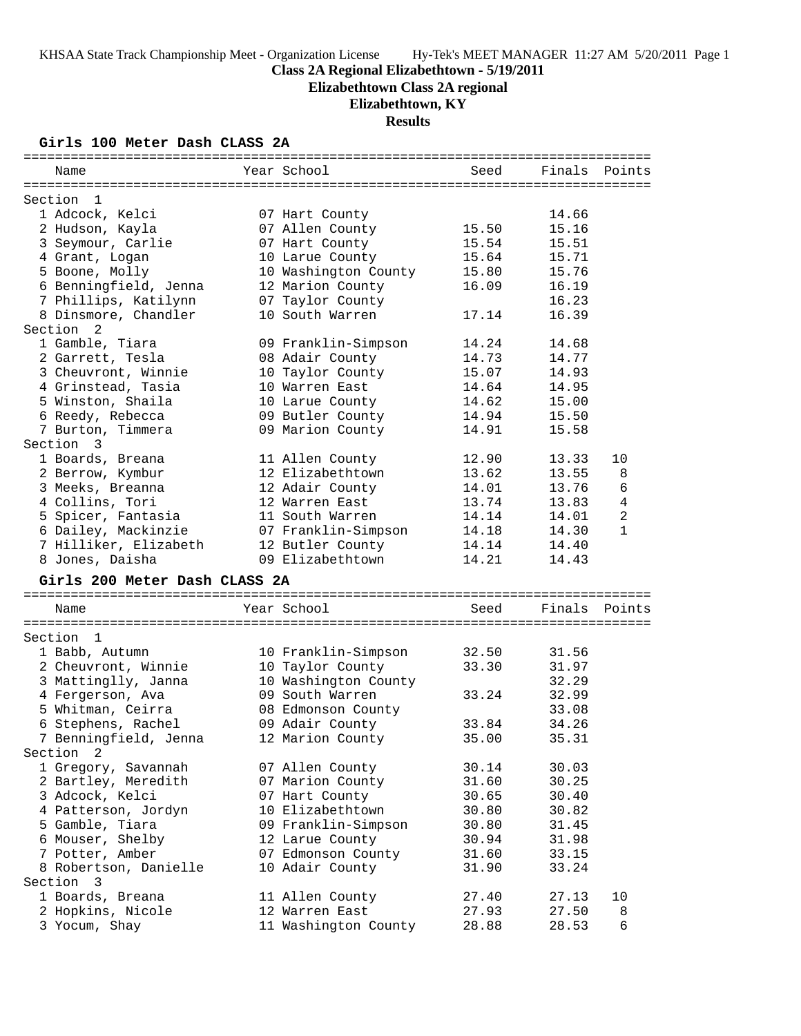## **Class 2A Regional Elizabethtown - 5/19/2011**

**Elizabethtown Class 2A regional**

# **Elizabethtown, KY**

**Results**

## **Girls 100 Meter Dash CLASS 2A**

| Name                           | Year School          | Seed  | Finals | Points       |
|--------------------------------|----------------------|-------|--------|--------------|
| Section 1                      |                      |       |        |              |
| 1 Adcock, Kelci                | 07 Hart County       |       | 14.66  |              |
| 2 Hudson, Kayla                | 07 Allen County      | 15.50 | 15.16  |              |
| 3 Seymour, Carlie              | 07 Hart County       | 15.54 | 15.51  |              |
| 4 Grant, Logan                 | 10 Larue County      | 15.64 | 15.71  |              |
| 5 Boone, Molly                 | 10 Washington County | 15.80 | 15.76  |              |
| 6 Benningfield, Jenna          | 12 Marion County     | 16.09 | 16.19  |              |
| 7 Phillips, Katilynn           | 07 Taylor County     |       | 16.23  |              |
| 8 Dinsmore, Chandler           | 10 South Warren      | 17.14 | 16.39  |              |
| Section<br>2                   |                      |       |        |              |
| 1 Gamble, Tiara                | 09 Franklin-Simpson  | 14.24 | 14.68  |              |
|                                |                      | 14.73 | 14.77  |              |
| 2 Garrett, Tesla               | 08 Adair County      |       |        |              |
| 3 Cheuvront, Winnie            | 10 Taylor County     | 15.07 | 14.93  |              |
| 4 Grinstead, Tasia             | 10 Warren East       | 14.64 | 14.95  |              |
| 5 Winston, Shaila              | 10 Larue County      | 14.62 | 15.00  |              |
| 6 Reedy, Rebecca               | 09 Butler County     | 14.94 | 15.50  |              |
| 7 Burton, Timmera<br>Section 3 | 09 Marion County     | 14.91 | 15.58  |              |
| 1 Boards, Breana               | 11 Allen County      | 12.90 | 13.33  | 10           |
| 2 Berrow, Kymbur               | 12 Elizabethtown     | 13.62 | 13.55  | 8            |
| 3 Meeks, Breanna               | 12 Adair County      | 14.01 | 13.76  | 6            |
| 4 Collins, Tori                | 12 Warren East       | 13.74 | 13.83  | 4            |
| 5 Spicer, Fantasia             | 11 South Warren      | 14.14 | 14.01  | 2            |
| 6 Dailey, Mackinzie            | 07 Franklin-Simpson  | 14.18 | 14.30  | $\mathbf{1}$ |
| 7 Hilliker, Elizabeth          | 12 Butler County     | 14.14 | 14.40  |              |
| 8 Jones, Daisha                | 09 Elizabethtown     | 14.21 | 14.43  |              |
|                                |                      |       |        |              |
| Girls 200 Meter Dash CLASS 2A  |                      |       |        |              |
| Name                           | Year School          | Seed  | Finals | Points       |
|                                |                      |       |        |              |
| Section 1                      |                      |       |        |              |
| 1 Babb, Autumn                 | 10 Franklin-Simpson  | 32.50 | 31.56  |              |
| 2 Cheuvront, Winnie            | 10 Taylor County     | 33.30 | 31.97  |              |
| 3 Mattinglly, Janna            | 10 Washington County |       | 32.29  |              |
| 4 Fergerson, Ava               | 09 South Warren      | 33.24 | 32.99  |              |
| 5 Whitman, Ceirra              | 08 Edmonson County   |       | 33.08  |              |
| 6 Stephens, Rachel             | 09 Adair County      | 33.84 | 34.26  |              |
| 7 Benningfield, Jenna          | 12 Marion County     | 35.00 | 35.31  |              |
| Section 2                      |                      |       |        |              |
| 1 Gregory, Savannah            | 07 Allen County      | 30.14 | 30.03  |              |
| 2 Bartley, Meredith            | 07 Marion County     | 31.60 | 30.25  |              |
| 3 Adcock, Kelci                | 07 Hart County       | 30.65 | 30.40  |              |
| 4 Patterson, Jordyn            | 10 Elizabethtown     | 30.80 | 30.82  |              |
| 5 Gamble, Tiara                | 09 Franklin-Simpson  | 30.80 | 31.45  |              |
| 6 Mouser, Shelby               | 12 Larue County      | 30.94 | 31.98  |              |
| 7 Potter, Amber                | 07 Edmonson County   | 31.60 | 33.15  |              |
| 8 Robertson, Danielle          | 10 Adair County      | 31.90 | 33.24  |              |
| Section 3                      |                      |       |        |              |
| 1 Boards, Breana               | 11 Allen County      | 27.40 | 27.13  | 10           |
| 2 Hopkins, Nicole              | 12 Warren East       | 27.93 | 27.50  | 8            |
| 3 Yocum, Shay                  | 11 Washington County | 28.88 | 28.53  | 6            |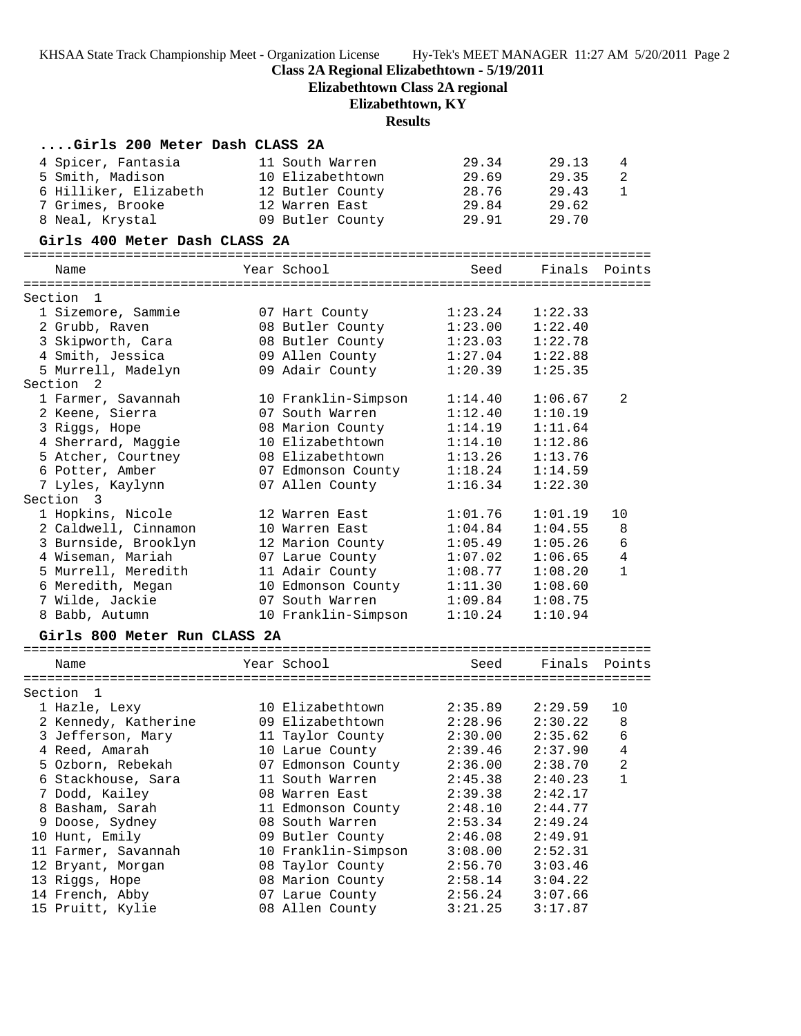**Class 2A Regional Elizabethtown - 5/19/2011**

**Elizabethtown Class 2A regional**

# **Elizabethtown, KY**

| Girls 200 Meter Dash CLASS 2A   |                     |         |         |                |
|---------------------------------|---------------------|---------|---------|----------------|
| 4 Spicer, Fantasia              | 11 South Warren     | 29.34   | 29.13   | 4              |
| 5 Smith, Madison                | 10 Elizabethtown    | 29.69   | 29.35   | $\overline{a}$ |
| 6 Hilliker, Elizabeth           | 12 Butler County    | 28.76   | 29.43   | $\mathbf 1$    |
| 7 Grimes, Brooke                | 12 Warren East      | 29.84   | 29.62   |                |
| 8 Neal, Krystal                 | 09 Butler County    | 29.91   | 29.70   |                |
| Girls 400 Meter Dash CLASS 2A   |                     |         |         |                |
| Name                            | Year School         | Seed    | Finals  | Points         |
|                                 |                     |         |         |                |
| Section 1<br>1 Sizemore, Sammie | 07 Hart County      | 1:23.24 | 1:22.33 |                |
| 2 Grubb, Raven                  | 08 Butler County    | 1:23.00 | 1:22.40 |                |
| 3 Skipworth, Cara               | 08 Butler County    | 1:23.03 | 1:22.78 |                |
| 4 Smith, Jessica                | 09 Allen County     | 1:27.04 | 1:22.88 |                |
| 5 Murrell, Madelyn              | 09 Adair County     | 1:20.39 | 1:25.35 |                |
| Section<br>2                    |                     |         |         |                |
| 1 Farmer, Savannah              | 10 Franklin-Simpson | 1:14.40 | 1:06.67 | 2              |
| 2 Keene, Sierra                 | 07 South Warren     | 1:12.40 | 1:10.19 |                |
| 3 Riggs, Hope                   | 08 Marion County    | 1:14.19 | 1:11.64 |                |
| 4 Sherrard, Maggie              | 10 Elizabethtown    | 1:14.10 | 1:12.86 |                |
| 5 Atcher, Courtney              | 08 Elizabethtown    | 1:13.26 | 1:13.76 |                |
| 6 Potter, Amber                 | 07 Edmonson County  | 1:18.24 | 1:14.59 |                |
| 7 Lyles, Kaylynn                | 07 Allen County     | 1:16.34 | 1:22.30 |                |
| Section 3                       |                     |         |         |                |
| 1 Hopkins, Nicole               | 12 Warren East      | 1:01.76 | 1:01.19 | 10             |
| 2 Caldwell, Cinnamon            | 10 Warren East      | 1:04.84 | 1:04.55 | 8              |
| 3 Burnside, Brooklyn            | 12 Marion County    | 1:05.49 | 1:05.26 | 6              |
| 4 Wiseman, Mariah               | 07 Larue County     | 1:07.02 | 1:06.65 | 4              |
| 5 Murrell, Meredith             | 11 Adair County     | 1:08.77 | 1:08.20 | $\mathbf{1}$   |
| 6 Meredith, Megan               | 10 Edmonson County  | 1:11.30 | 1:08.60 |                |
| 7 Wilde, Jackie                 | 07 South Warren     | 1:09.84 | 1:08.75 |                |
| 8 Babb, Autumn                  | 10 Franklin-Simpson | 1:10.24 | 1:10.94 |                |
| Girls 800 Meter Run CLASS 2A    |                     |         |         |                |
| Name                            | Year School         | Seed    | Finals  | Points         |
|                                 |                     |         |         |                |
| Section 1                       |                     |         |         |                |
| 1 Hazle, Lexy                   | 10 Elizabethtown    | 2:35.89 | 2:29.59 | 10             |
| 2 Kennedy, Katherine            | 09 Elizabethtown    | 2:28.96 | 2:30.22 | 8              |
| 3 Jefferson, Mary               | 11 Taylor County    | 2:30.00 | 2:35.62 | 6              |
| 4 Reed, Amarah                  | 10 Larue County     | 2:39.46 | 2:37.90 | 4              |
| 5 Ozborn, Rebekah               | 07 Edmonson County  | 2:36.00 | 2:38.70 | 2              |
| 6 Stackhouse, Sara              | 11 South Warren     | 2:45.38 | 2:40.23 | 1              |
| 7 Dodd, Kailey                  | 08 Warren East      | 2:39.38 | 2:42.17 |                |
| 8 Basham, Sarah                 | 11 Edmonson County  | 2:48.10 | 2:44.77 |                |
| 9 Doose, Sydney                 | 08 South Warren     | 2:53.34 | 2:49.24 |                |
| 10 Hunt, Emily                  | 09 Butler County    | 2:46.08 | 2:49.91 |                |
| 11 Farmer, Savannah             | 10 Franklin-Simpson | 3:08.00 | 2:52.31 |                |
| 12 Bryant, Morgan               | 08 Taylor County    | 2:56.70 | 3:03.46 |                |
| 13 Riggs, Hope                  | 08 Marion County    | 2:58.14 | 3:04.22 |                |
| 14 French, Abby                 | 07 Larue County     | 2:56.24 | 3:07.66 |                |
| 15 Pruitt, Kylie                | 08 Allen County     | 3:21.25 | 3:17.87 |                |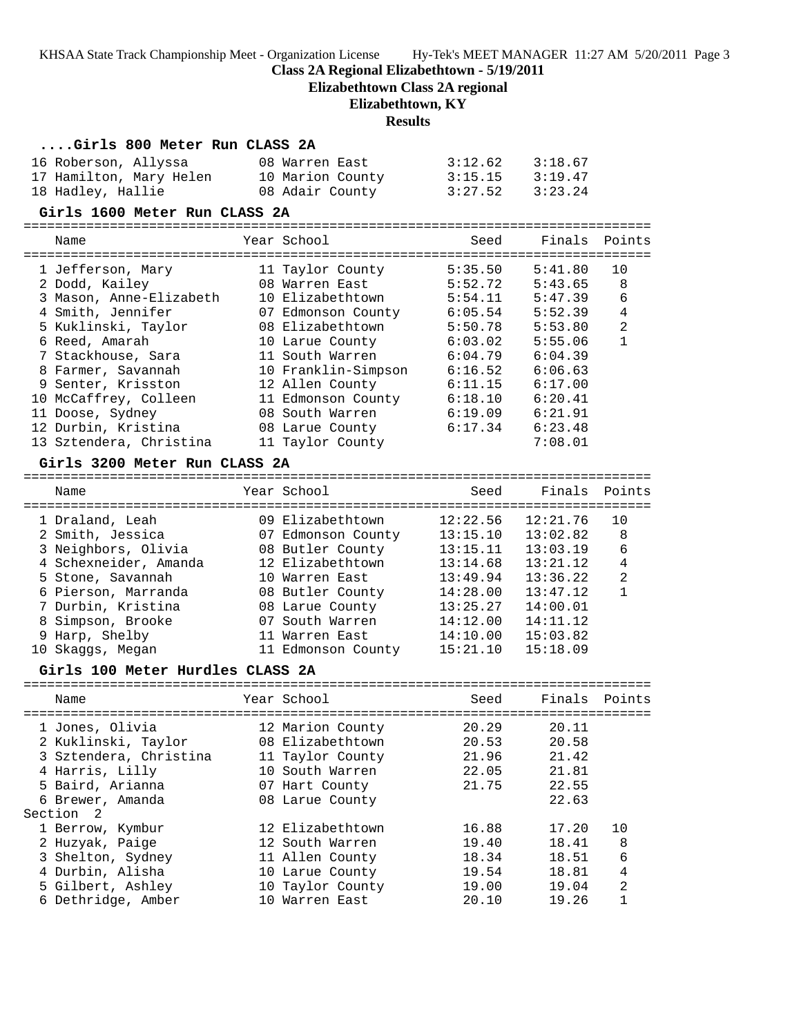#### **Class 2A Regional Elizabethtown - 5/19/2011**

**Elizabethtown Class 2A regional**

## **Elizabethtown, KY**

#### **Results**

| Girls 800 Meter Run CLASS 2A |  |  |  |  |  |
|------------------------------|--|--|--|--|--|
|------------------------------|--|--|--|--|--|

| 16 Roberson, Allyssa    | 08 Warren East   | 3:12.62 | 3:18.67 |
|-------------------------|------------------|---------|---------|
| 17 Hamilton, Mary Helen | 10 Marion County | 3:15.15 | 3:19.47 |
| 18 Hadley, Hallie       | 08 Adair County  | 3:27.52 | 3:23.24 |

#### **Girls 1600 Meter Run CLASS 2A**

================================================================================

| Name                    | Year School         | Seed    | Finals  | Points         |
|-------------------------|---------------------|---------|---------|----------------|
| 1 Jefferson, Mary       | 11 Taylor County    | 5:35.50 | 5:41.80 | 10             |
| 2 Dodd, Kailey          | 08 Warren East      | 5:52.72 | 5:43.65 | 8              |
| 3 Mason, Anne-Elizabeth | 10 Elizabethtown    | 5:54.11 | 5:47.39 | 6              |
| 4 Smith, Jennifer       | 07 Edmonson County  | 6:05.54 | 5:52.39 | 4              |
| 5 Kuklinski, Taylor     | 08 Elizabethtown    | 5:50.78 | 5:53.80 | $\overline{2}$ |
| 6 Reed, Amarah          | 10 Larue County     | 6:03.02 | 5:55.06 |                |
| 7 Stackhouse, Sara      | 11 South Warren     | 6:04.79 | 6:04.39 |                |
| 8 Farmer, Savannah      | 10 Franklin-Simpson | 6:16.52 | 6:06.63 |                |
| 9 Senter, Krisston      | 12 Allen County     | 6:11.15 | 6:17.00 |                |
| 10 McCaffrey, Colleen   | 11 Edmonson County  | 6:18.10 | 6:20.41 |                |
| 11 Doose, Sydney        | 08 South Warren     | 6:19.09 | 6:21.91 |                |
| 12 Durbin, Kristina     | 08 Larue County     | 6:17.34 | 6:23.48 |                |
| 13 Sztendera, Christina | 11 Taylor County    |         | 7:08.01 |                |

#### **Girls 3200 Meter Run CLASS 2A**

|    | Name                  | Year School        | Seed     | Finals Points |                |
|----|-----------------------|--------------------|----------|---------------|----------------|
|    | 1 Draland, Leah       | 09 Elizabethtown   | 12:22.56 | 12:21.76      | 10             |
|    | 2 Smith, Jessica      | 07 Edmonson County | 13:15.10 | 13:02.82      | 8              |
|    | 3 Neighbors, Olivia   | 08 Butler County   | 13:15.11 | 13:03.19      | 6              |
|    | 4 Schexneider, Amanda | 12 Elizabethtown   | 13:14.68 | 13:21.12      | 4              |
|    | 5 Stone, Savannah     | 10 Warren East     | 13:49.94 | 13:36.22      | $\overline{2}$ |
|    | 6 Pierson, Marranda   | 08 Butler County   | 14:28.00 | 13:47.12      | 1              |
|    | 7 Durbin, Kristina    | 08 Larue County    | 13:25.27 | 14:00.01      |                |
|    | 8 Simpson, Brooke     | 07 South Warren    | 14:12.00 | 14:11.12      |                |
|    | 9 Harp, Shelby        | 11 Warren East     | 14:10.00 | 15:03.82      |                |
| 10 | Skaqqs, Meqan         | 11 Edmonson County | 15:21.10 | 15:18.09      |                |
|    |                       |                    |          |               |                |

#### **Girls 100 Meter Hurdles CLASS 2A**

================================================================================ Name The Year School Seed Finals Points ================================================================================ 1 Jones, Olivia 12 Marion County 20.29 20.11 2 Kuklinski, Taylor 08 Elizabethtown 20.53 20.58 3 Sztendera, Christina 11 Taylor County 21.96 21.42 4 Harris, Lilly 10 South Warren 22.05 21.81 5 Baird, Arianna 07 Hart County 21.75 22.55 6 Brewer, Amanda 08 Larue County 22.63 Section 2 1 Berrow, Kymbur 12 Elizabethtown 16.88 17.20 10 2 Huzyak, Paige 12 South Warren 19.40 18.41 8 3 Shelton, Sydney 11 Allen County 18.34 18.51 6 4 Durbin, Alisha 10 Larue County 19.54 18.81 4 5 Gilbert, Ashley 10 Taylor County 19.00 19.04 2 6 Dethridge, Amber 10 Warren East 20.10 19.26 1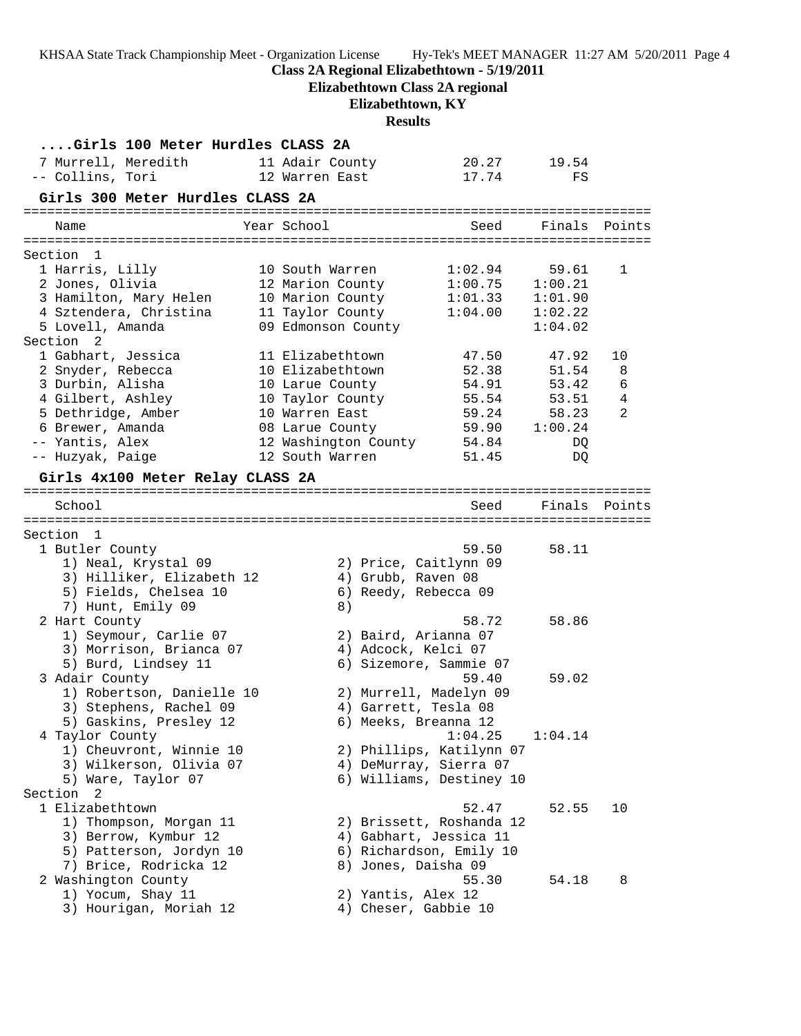**Class 2A Regional Elizabethtown - 5/19/2011**

**Elizabethtown Class 2A regional**

# **Elizabethtown, KY**

| Girls 100 Meter Hurdles CLASS 2A                   |                                            |                          |               |        |
|----------------------------------------------------|--------------------------------------------|--------------------------|---------------|--------|
| 7 Murrell, Meredith<br>-- Collins, Tori            | 11 Adair County<br>12 Warren East          | 20.27 19.54<br>17.74     | FS            |        |
|                                                    |                                            |                          |               |        |
| Girls 300 Meter Hurdles CLASS 2A                   |                                            |                          |               |        |
| Name                                               | Year School                                | Seed                     | Finals Points |        |
| Section 1                                          |                                            |                          |               |        |
| 1 Harris, Lilly                                    | 10 South Warren                            | 1:02.94                  | 59.61         | 1      |
| 2 Jones, Olivia                                    | 12 Marion County                           | 1:00.75                  | 1:00.21       |        |
| 3 Hamilton, Mary Helen                             | 10 Marion County                           | 1:01.33                  | 1:01.90       |        |
| 4 Sztendera, Christina                             | 11 Taylor County                           | 1:04.00                  | 1:02.22       |        |
| 5 Lovell, Amanda                                   | 09 Edmonson County                         |                          | 1:04.02       |        |
| Section 2                                          |                                            |                          |               |        |
| 1 Gabhart, Jessica                                 | 11 Elizabethtown                           | 47.50                    | 47.92         | 10     |
| 2 Snyder, Rebecca                                  | 10 Elizabethtown                           | 52.38                    | 51.54         | 8      |
| 3 Durbin, Alisha                                   | 10 Larue County                            | 54.91                    | 53.42         | 6      |
| 4 Gilbert, Ashley                                  | 10 Taylor County                           | 55.54                    | 53.51         | 4      |
| 5 Dethridge, Amber                                 | 10 Warren East                             | 59.24                    | 58.23         | 2      |
| 6 Brewer, Amanda                                   | 08 Larue County                            | 59.90                    | 1:00.24       |        |
| -- Yantis, Alex                                    | 12 Washington County 54.84                 |                          | DQ            |        |
| -- Huzyak, Paige                                   | 12 South Warren                            | 51.45                    | DQ            |        |
| Girls 4x100 Meter Relay CLASS 2A                   |                                            |                          |               |        |
| School                                             |                                            | Seed                     | Finals        | Points |
|                                                    |                                            |                          |               |        |
| Section 1                                          |                                            |                          |               |        |
| 1 Butler County                                    |                                            | 59.50                    | 58.11         |        |
| 1) Neal, Krystal 09                                |                                            | 2) Price, Caitlynn 09    |               |        |
| 3) Hilliker, Elizabeth 12<br>5) Fields, Chelsea 10 | 4) Grubb, Raven 08<br>6) Reedy, Rebecca 09 |                          |               |        |
| 7) Hunt, Emily 09                                  | 8)                                         |                          |               |        |
| 2 Hart County                                      |                                            | 58.72                    | 58.86         |        |
| 1) Seymour, Carlie 07                              | 2) Baird, Arianna 07                       |                          |               |        |
| 3) Morrison, Brianca 07                            | 4) Adcock, Kelci 07                        |                          |               |        |
| 5) Burd, Lindsey 11                                |                                            | 6) Sizemore, Sammie 07   |               |        |
| 3 Adair County                                     |                                            | 59.40                    | 59.02         |        |
| 1) Robertson, Danielle 10                          |                                            | 2) Murrell, Madelyn 09   |               |        |
| 3) Stephens, Rachel 09                             | 4) Garrett, Tesla 08                       |                          |               |        |
| 5) Gaskins, Presley 12                             | 6) Meeks, Breanna 12                       |                          |               |        |
| 4 Taylor County                                    |                                            | 1:04.25                  | 1:04.14       |        |
| 1) Cheuvront, Winnie 10                            |                                            | 2) Phillips, Katilynn 07 |               |        |
| 3) Wilkerson, Olivia 07                            |                                            | 4) DeMurray, Sierra 07   |               |        |
| 5) Ware, Taylor 07                                 |                                            | 6) Williams, Destiney 10 |               |        |
| Section<br>$\overline{2}$                          |                                            |                          |               |        |
| 1 Elizabethtown                                    |                                            | 52.47                    | 52.55         | 10     |
| 1) Thompson, Morgan 11                             |                                            | 2) Brissett, Roshanda 12 |               |        |
| 3) Berrow, Kymbur 12                               |                                            | 4) Gabhart, Jessica 11   |               |        |
| 5) Patterson, Jordyn 10                            |                                            | 6) Richardson, Emily 10  |               |        |
| 7) Brice, Rodricka 12                              | 8) Jones, Daisha 09                        |                          |               |        |
| 2 Washington County<br>1) Yocum, Shay 11           | 2) Yantis, Alex 12                         | 55.30                    | 54.18         | 8      |
| 3) Hourigan, Moriah 12                             | 4) Cheser, Gabbie 10                       |                          |               |        |
|                                                    |                                            |                          |               |        |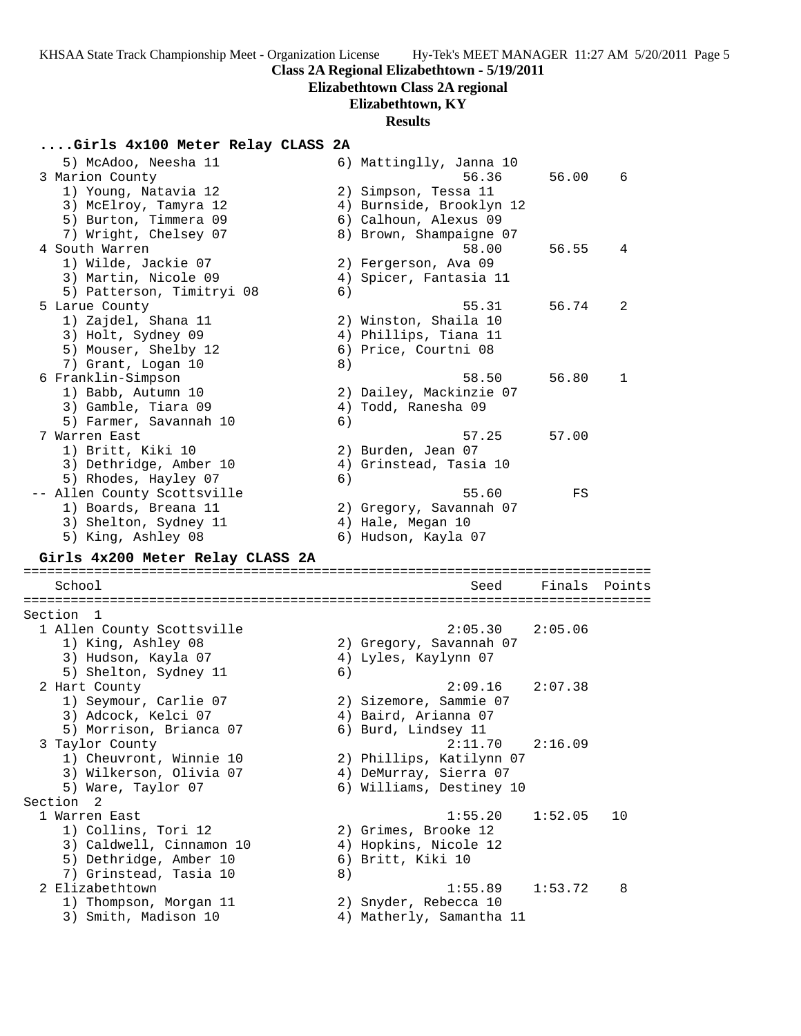# **Elizabethtown Class 2A regional**

# **Elizabethtown, KY**

## **Results**

## **....Girls 4x100 Meter Relay CLASS 2A**

| 5) McAdoo, Neesha 11             |    | 6) Mattinglly, Janna 10  |         |        |
|----------------------------------|----|--------------------------|---------|--------|
| 3 Marion County                  |    | 56.36                    | 56.00   | 6      |
| 1) Young, Natavia 12             |    | 2) Simpson, Tessa 11     |         |        |
| 3) McElroy, Tamyra 12            |    | 4) Burnside, Brooklyn 12 |         |        |
| 5) Burton, Timmera 09            |    | 6) Calhoun, Alexus 09    |         |        |
| 7) Wright, Chelsey 07            |    | 8) Brown, Shampaigne 07  |         |        |
| 4 South Warren                   |    | 58.00                    | 56.55   | 4      |
| 1) Wilde, Jackie 07              |    | 2) Fergerson, Ava 09     |         |        |
| 3) Martin, Nicole 09             |    | 4) Spicer, Fantasia 11   |         |        |
| 5) Patterson, Timitryi 08        | 6) |                          |         |        |
| 5 Larue County                   |    | 55.31                    | 56.74   | 2      |
| 1) Zajdel, Shana 11              |    | 2) Winston, Shaila 10    |         |        |
| 3) Holt, Sydney 09               |    | 4) Phillips, Tiana 11    |         |        |
| 5) Mouser, Shelby 12             |    | 6) Price, Courtni 08     |         |        |
| 7) Grant, Logan 10               | 8) |                          |         |        |
| 6 Franklin-Simpson               |    | 58.50                    | 56.80   | 1      |
| 1) Babb, Autumn 10               |    | 2) Dailey, Mackinzie 07  |         |        |
| 3) Gamble, Tiara 09              |    | 4) Todd, Ranesha 09      |         |        |
| 5) Farmer, Savannah 10           | 6) |                          |         |        |
| 7 Warren East                    |    | 57.25                    | 57.00   |        |
| 1) Britt, Kiki 10                |    | 2) Burden, Jean 07       |         |        |
| 3) Dethridge, Amber 10           |    | 4) Grinstead, Tasia 10   |         |        |
| 5) Rhodes, Hayley 07             | 6) |                          |         |        |
| -- Allen County Scottsville      |    | 55.60                    | FS      |        |
|                                  |    |                          |         |        |
| 1) Boards, Breana 11             |    | 2) Gregory, Savannah 07  |         |        |
| 3) Shelton, Sydney 11            |    | 4) Hale, Megan 10        |         |        |
| 5) King, Ashley 08               |    | 6) Hudson, Kayla 07      |         |        |
|                                  |    |                          |         |        |
| Girls 4x200 Meter Relay CLASS 2A |    |                          |         |        |
| School                           |    | Seed                     | Finals  | Points |
|                                  |    |                          |         |        |
| Section 1                        |    |                          |         |        |
| 1 Allen County Scottsville       |    | 2:05.30                  | 2:05.06 |        |
| 1) King, Ashley 08               |    | 2) Gregory, Savannah 07  |         |        |
| 3) Hudson, Kayla 07              |    | 4) Lyles, Kaylynn 07     |         |        |
| 5) Shelton, Sydney 11            | 6) |                          |         |        |
| 2 Hart County                    |    | 2:09.16                  | 2:07.38 |        |
| 1) Seymour, Carlie 07            |    | 2) Sizemore, Sammie 07   |         |        |
| 3) Adcock, Kelci 07              |    | 4) Baird, Arianna 07     |         |        |
| 5) Morrison, Brianca 07          |    | 6) Burd, Lindsey 11      |         |        |
| 3 Taylor County                  |    | 2:11.70                  | 2:16.09 |        |
| 1) Cheuvront, Winnie 10          |    | 2) Phillips, Katilynn 07 |         |        |
| 3) Wilkerson, Olivia 07          |    | 4) DeMurray, Sierra 07   |         |        |
| 5) Ware, Taylor 07               |    | 6) Williams, Destiney 10 |         |        |
| Section<br>2                     |    |                          |         |        |
| 1 Warren East                    |    | 1:55.20                  | 1:52.05 | 10     |
| 1) Collins, Tori 12              |    | 2) Grimes, Brooke 12     |         |        |
| 3) Caldwell, Cinnamon 10         |    | 4) Hopkins, Nicole 12    |         |        |
| 5) Dethridge, Amber 10           |    | 6) Britt, Kiki 10        |         |        |
| 7) Grinstead, Tasia 10           | 8) |                          |         |        |
| 2 Elizabethtown                  |    | 1:55.89                  | 1:53.72 | 8      |
| 1) Thompson, Morgan 11           |    | 2) Snyder, Rebecca 10    |         |        |
| 3) Smith, Madison 10             |    | 4) Matherly, Samantha 11 |         |        |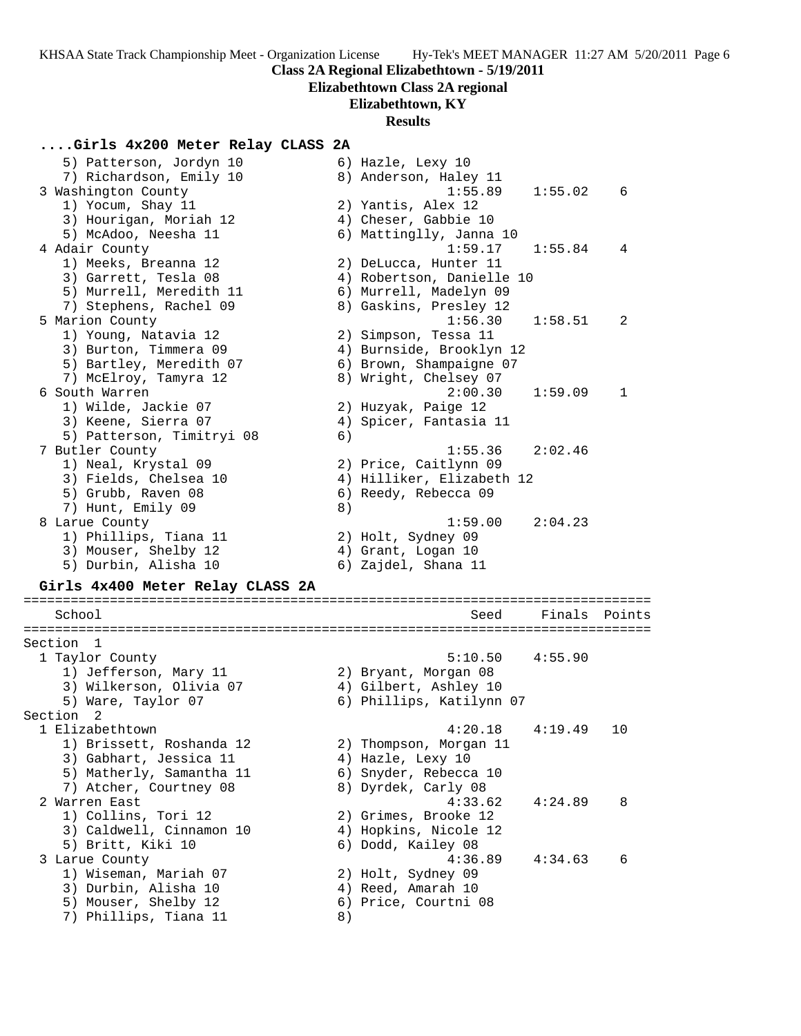#### **Class 2A Regional Elizabethtown - 5/19/2011**

**Elizabethtown Class 2A regional**

#### **Elizabethtown, KY**

#### **Results**

**....Girls 4x200 Meter Relay CLASS 2A** 5) Patterson, Jordyn 10 6) Hazle, Lexy 10 7) Richardson, Emily 10 8) Anderson, Haley 11 3 Washington County 1:55.89 1:55.02 6 1) Yocum, Shay 11 2) Yantis, Alex 12 3) Hourigan, Moriah 12 (a) 4) Cheser, Gabbie 10 5) McAdoo, Neesha 11 6) Mattinglly, Janna 10 4 Adair County 1:59.17 1:55.84 4 1) Meeks, Breanna 12 2) DeLucca, Hunter 11 3) Garrett, Tesla 08 4) Robertson, Danielle 10 5) Murrell, Meredith 11 6) Murrell, Madelyn 09 7) Stephens, Rachel 09 8) Gaskins, Presley 12 5 Marion County 1:56.30 1:58.51 2 1) Young, Natavia 12 2) Simpson, Tessa 11 3) Burton, Timmera 09 4) Burnside, Brooklyn 12 5) Bartley, Meredith 07 6) Brown, Shampaigne 07 7) McElroy, Tamyra 12 8) Wright, Chelsey 07 6 South Warren 2:00.30 1:59.09 1 1) Wilde, Jackie 07 2) Huzyak, Paige 12 3) Keene, Sierra 07 4) Spicer, Fantasia 11 5) Patterson, Timitryi 08 (6) 7 Butler County 1:55.36 2:02.46 1) Neal, Krystal 09 2) Price, Caitlynn 09 3) Fields, Chelsea 10 4) Hilliker, Elizabeth 12 5) Grubb, Raven 08 6) Reedy, Rebecca 09 7) Hunt, Emily 09 8) 8 Larue County 1:59.00 2:04.23 1) Phillips, Tiana 11 2) Holt, Sydney 09 3) Mouser, Shelby 12 (4) Grant, Logan 10 5) Durbin, Alisha 10 6) Zajdel, Shana 11 **Girls 4x400 Meter Relay CLASS 2A** ================================================================================ School Seed Finals Points ================================================================================ Section 1 1 Taylor County 5:10.50 4:55.90 1) Jefferson, Mary 11  $\hskip1cm 2)$  Bryant, Morgan 08 3) Wilkerson, Olivia 07 4) Gilbert, Ashley 10 5) Ware, Taylor 07 6) Phillips, Katilynn 07 Section 2<br>1 Elizabethtown 1 Elizabethtown 4:20.18 4:19.49 10 1) Brissett, Roshanda 12 2) Thompson, Morgan 11 3) Gabhart, Jessica 11 (4) Hazle, Lexy 10 5) Matherly, Samantha 11 6) Snyder, Rebecca 10 7) Atcher, Courtney 08 8) Dyrdek, Carly 08 2 Warren East 4:33.62 4:24.89 8 1) Collins, Tori 12 2) Grimes, Brooke 12 3) Caldwell, Cinnamon 10 4) Hopkins, Nicole 12 5) Britt, Kiki 10 6) Dodd, Kailey 08 3 Larue County 4:36.89 4:34.63 6 1) Wiseman, Mariah 07 2) Holt, Sydney 09 3) Durbin, Alisha 10  $\hskip1cm 4$ ) Reed, Amarah 10 5) Mouser, Shelby 12 (6) Price, Courtni 08 7) Phillips, Tiana 11 (8)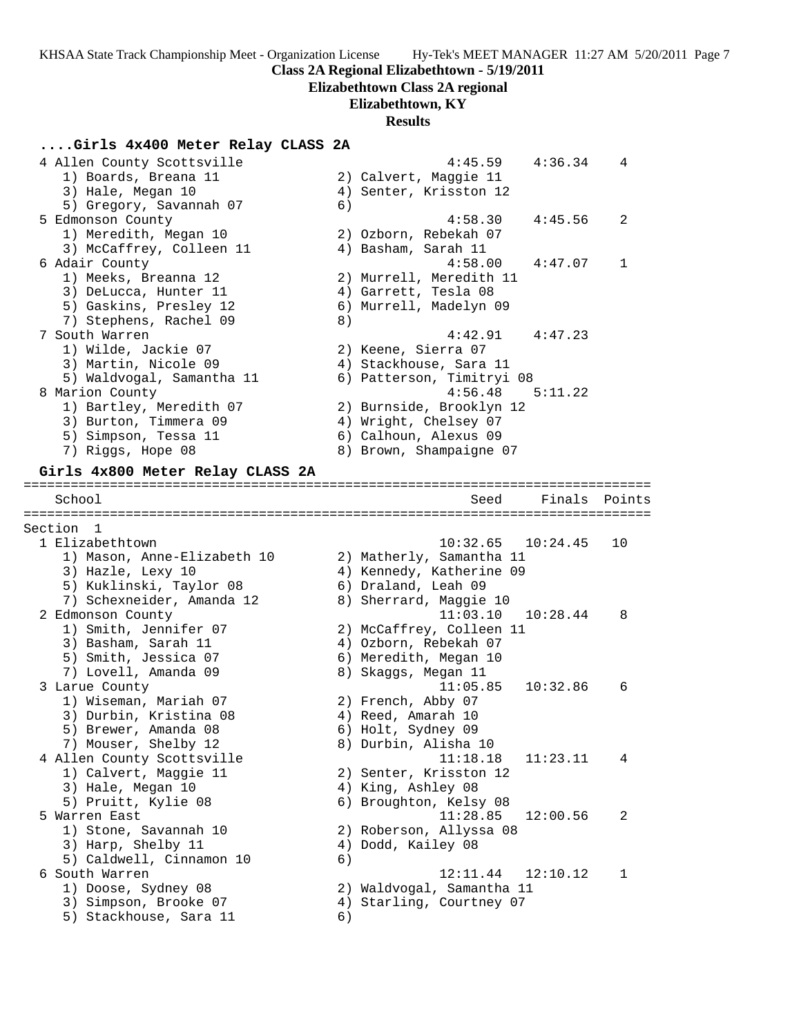**Class 2A Regional Elizabethtown - 5/19/2011**

**Elizabethtown Class 2A regional**

# **Elizabethtown, KY**

## **Results**

## **....Girls 4x400 Meter Relay CLASS 2A**

| 4 Allen County Scottsville       |    | 4:45.59                   | 4:36.34  | 4      |
|----------------------------------|----|---------------------------|----------|--------|
| 1) Boards, Breana 11             |    | 2) Calvert, Maggie 11     |          |        |
| 3) Hale, Megan 10                |    | 4) Senter, Krisston 12    |          |        |
| 5) Gregory, Savannah 07          | 6) |                           |          |        |
| 5 Edmonson County                |    | 4:58.30                   | 4:45.56  | 2      |
| 1) Meredith, Megan 10            |    | 2) Ozborn, Rebekah 07     |          |        |
| 3) McCaffrey, Colleen 11         |    | 4) Basham, Sarah 11       |          |        |
| 6 Adair County                   |    | 4:58.00                   | 4:47.07  | 1      |
| 1) Meeks, Breanna 12             |    | 2) Murrell, Meredith 11   |          |        |
| 3) DeLucca, Hunter 11            |    | 4) Garrett, Tesla 08      |          |        |
| 5) Gaskins, Presley 12           |    | 6) Murrell, Madelyn 09    |          |        |
| 7) Stephens, Rachel 09           | 8) |                           |          |        |
| 7 South Warren                   |    | 4:42.91                   | 4:47.23  |        |
| 1) Wilde, Jackie 07              |    | 2) Keene, Sierra 07       |          |        |
| 3) Martin, Nicole 09             |    | 4) Stackhouse, Sara 11    |          |        |
| 5) Waldvogal, Samantha 11        |    | 6) Patterson, Timitryi 08 |          |        |
| 8 Marion County                  |    | 4:56.48                   | 5:11.22  |        |
| 1) Bartley, Meredith 07          |    | 2) Burnside, Brooklyn 12  |          |        |
| 3) Burton, Timmera 09            |    | 4) Wright, Chelsey 07     |          |        |
| 5) Simpson, Tessa 11             |    | 6) Calhoun, Alexus 09     |          |        |
| 7) Riggs, Hope 08                |    | 8) Brown, Shampaigne 07   |          |        |
|                                  |    |                           |          |        |
| Girls 4x800 Meter Relay CLASS 2A |    |                           |          |        |
|                                  |    |                           |          |        |
| School                           |    | Seed                      | Finals   | Points |
|                                  |    |                           |          |        |
| Section 1                        |    |                           |          |        |
| 1 Elizabethtown                  |    | 10:32.65                  | 10:24.45 | 10     |
| 1) Mason, Anne-Elizabeth 10      |    | 2) Matherly, Samantha 11  |          |        |
| 3) Hazle, Lexy 10                |    | 4) Kennedy, Katherine 09  |          |        |
| 5) Kuklinski, Taylor 08          |    | 6) Draland, Leah 09       |          |        |
| 7) Schexneider, Amanda 12        |    | 8) Sherrard, Maggie 10    |          |        |
| 2 Edmonson County                |    | 11:03.10                  | 10:28.44 | 8      |
| 1) Smith, Jennifer 07            |    | 2) McCaffrey, Colleen 11  |          |        |
| 3) Basham, Sarah 11              |    | 4) Ozborn, Rebekah 07     |          |        |
| 5) Smith, Jessica 07             |    | 6) Meredith, Megan 10     |          |        |
| 7) Lovell, Amanda 09             |    | 8) Skaggs, Megan 11       |          |        |
| 3 Larue County                   |    | 11:05.85                  | 10:32.86 | 6      |
| 1) Wiseman, Mariah 07            |    | 2) French, Abby 07        |          |        |
| 3) Durbin, Kristina 08           |    | 4) Reed, Amarah 10        |          |        |
| 5) Brewer, Amanda 08             |    | 6) Holt, Sydney 09        |          |        |
| 7) Mouser, Shelby 12             |    | 8) Durbin, Alisha 10      |          |        |
| 4 Allen County Scottsville       |    | 11:18.18                  | 11:23.11 | 4      |
| 1) Calvert, Maggie 11            |    | 2) Senter, Krisston 12    |          |        |
| 3) Hale, Megan 10                |    | 4) King, Ashley 08        |          |        |
| 5) Pruitt, Kylie 08              |    | 6) Broughton, Kelsy 08    |          |        |
| 5 Warren East                    |    | 11:28.85                  | 12:00.56 | 2      |
| 1) Stone, Savannah 10            |    | 2) Roberson, Allyssa 08   |          |        |
| 3) Harp, Shelby 11               |    | 4) Dodd, Kailey 08        |          |        |
| 5) Caldwell, Cinnamon 10         | 6) |                           |          |        |
| 6 South Warren                   |    | 12:11.44                  | 12:10.12 | 1      |
| 1) Doose, Sydney 08              |    | 2) Waldvogal, Samantha 11 |          |        |
| 3) Simpson, Brooke 07            | 4) | Starling, Courtney 07     |          |        |
| 5) Stackhouse, Sara 11           | 6) |                           |          |        |
|                                  |    |                           |          |        |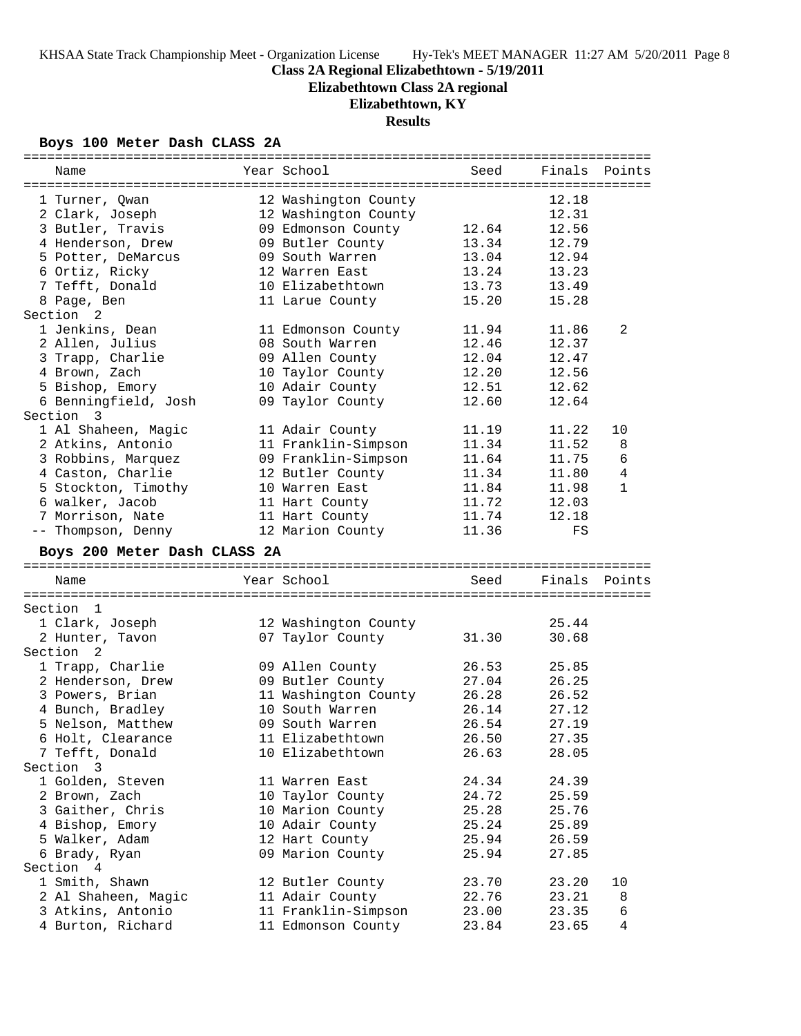**Elizabethtown Class 2A regional**

# **Elizabethtown, KY**

## **Results**

## **Boys 100 Meter Dash CLASS 2A**

| Name                                   | Year School          | Seed  | Finals | Points         |
|----------------------------------------|----------------------|-------|--------|----------------|
| 1 Turner, Qwan                         | 12 Washington County |       | 12.18  |                |
| 2 Clark, Joseph                        | 12 Washington County |       | 12.31  |                |
| 3 Butler, Travis                       | 09 Edmonson County   | 12.64 | 12.56  |                |
| 4 Henderson, Drew                      | 09 Butler County     | 13.34 | 12.79  |                |
| 5 Potter, DeMarcus                     | 09 South Warren      | 13.04 | 12.94  |                |
| 6 Ortiz, Ricky                         | 12 Warren East       | 13.24 | 13.23  |                |
| 7 Tefft, Donald                        | 10 Elizabethtown     | 13.73 | 13.49  |                |
| 8 Page, Ben                            | 11 Larue County      | 15.20 | 15.28  |                |
| Section <sub>2</sub>                   |                      |       |        |                |
| 1 Jenkins, Dean                        | 11 Edmonson County   | 11.94 | 11.86  | 2              |
| 2 Allen, Julius                        | 08 South Warren      | 12.46 | 12.37  |                |
| 3 Trapp, Charlie                       | 09 Allen County      | 12.04 | 12.47  |                |
| 4 Brown, Zach                          | 10 Taylor County     | 12.20 | 12.56  |                |
| 5 Bishop, Emory                        | 10 Adair County      | 12.51 | 12.62  |                |
| 6 Benningfield, Josh                   | 09 Taylor County     | 12.60 | 12.64  |                |
| Section 3                              |                      |       |        |                |
| 1 Al Shaheen, Magic                    | 11 Adair County      | 11.19 | 11.22  | 10             |
| 2 Atkins, Antonio                      | 11 Franklin-Simpson  | 11.34 | 11.52  | 8              |
| 3 Robbins, Marquez                     | 09 Franklin-Simpson  | 11.64 | 11.75  | 6              |
| 4 Caston, Charlie                      | 12 Butler County     | 11.34 | 11.80  | $\overline{4}$ |
| 5 Stockton, Timothy                    | 10 Warren East       | 11.84 | 11.98  | $\mathbf{1}$   |
| 6 walker, Jacob                        | 11 Hart County       | 11.72 | 12.03  |                |
| 7 Morrison, Nate                       | 11 Hart County       | 11.74 | 12.18  |                |
| -- Thompson, Denny                     | 12 Marion County     | 11.36 | FS     |                |
| Boys 200 Meter Dash CLASS 2A           |                      |       |        |                |
| Name                                   | Year School          | Seed  | Finals | Points         |
|                                        |                      |       |        |                |
| Section<br>- 1                         |                      |       |        |                |
| 1 Clark, Joseph                        | 12 Washington County |       | 25.44  |                |
| 2 Hunter, Tavon                        | 07 Taylor County     | 31.30 | 30.68  |                |
| Section<br>2                           |                      |       |        |                |
| 1 Trapp, Charlie                       | 09 Allen County      | 26.53 | 25.85  |                |
| 2 Henderson, Drew                      | 09 Butler County     | 27.04 | 26.25  |                |
| 3 Powers, Brian                        | 11 Washington County | 26.28 | 26.52  |                |
| 4 Bunch, Bradley                       | 10 South Warren      | 26.14 | 27.12  |                |
| 5 Nelson, Matthew                      | 09 South Warren      | 26.54 | 27.19  |                |
| 6 Holt, Clearance                      | 11 Elizabethtown     | 26.50 | 27.35  |                |
| 7 Tefft, Donald                        | 10 Elizabethtown     | 26.63 | 28.05  |                |
| Section 3                              |                      |       |        |                |
| 1 Golden, Steven                       | 11 Warren East       | 24.34 | 24.39  |                |
| 2 Brown, Zach                          | 10 Taylor County     | 24.72 | 25.59  |                |
| 3 Gaither, Chris                       | 10 Marion County     | 25.28 | 25.76  |                |
| 4 Bishop, Emory                        | 10 Adair County      | 25.24 | 25.89  |                |
| 5 Walker, Adam                         | 12 Hart County       | 25.94 | 26.59  |                |
| 6 Brady, Ryan                          | 09 Marion County     | 25.94 | 27.85  |                |
| Section 4                              |                      |       |        |                |
| 1 Smith, Shawn                         | 12 Butler County     | 23.70 | 23.20  | 10             |
| 2 Al Shaheen, Magic                    | 11 Adair County      | 22.76 | 23.21  | 8              |
|                                        |                      |       |        |                |
| 3 Atkins, Antonio<br>4 Burton, Richard | 11 Franklin-Simpson  | 23.00 | 23.35  | 6              |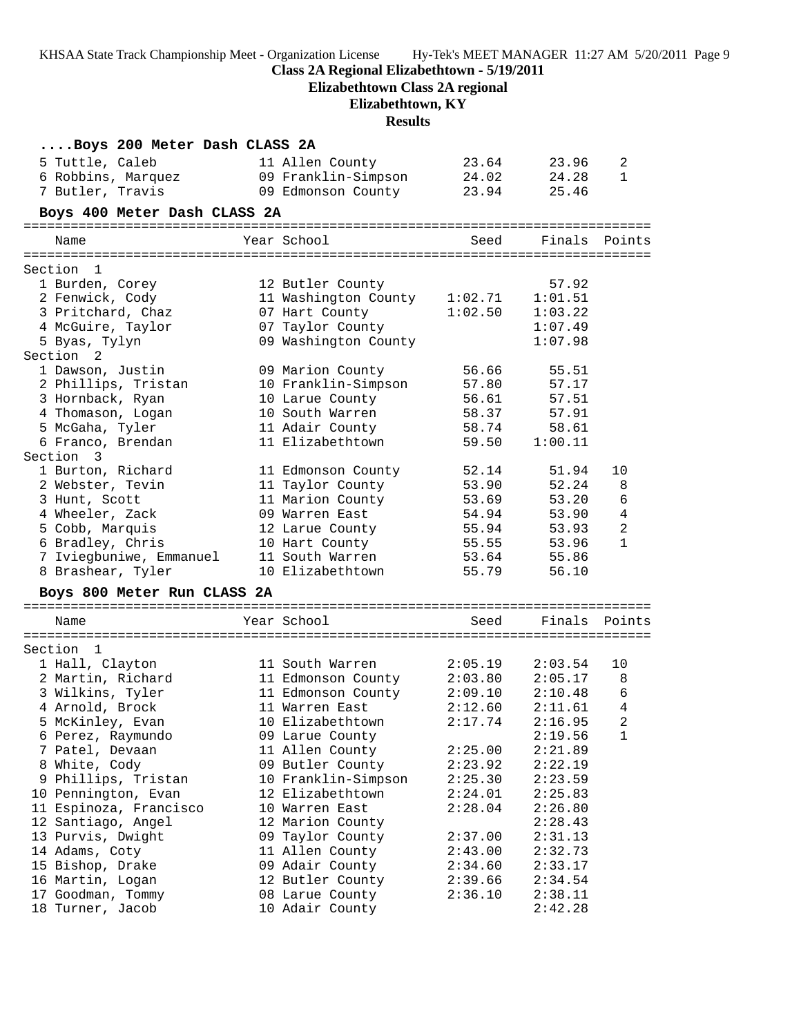## **Class 2A Regional Elizabethtown - 5/19/2011**

**Elizabethtown Class 2A regional**

# **Elizabethtown, KY**

| Boys 200 Meter Dash CLASS 2A |                              |         |               |                |
|------------------------------|------------------------------|---------|---------------|----------------|
| 5 Tuttle, Caleb              | 11 Allen County              | 23.64   | 23.96         | 2              |
| 6 Robbins, Marquez           | 09 Franklin-Simpson          | 24.02   | 24.28         | $\mathbf{1}$   |
| 7 Butler, Travis             | 09 Edmonson County           | 23.94   | 25.46         |                |
| Boys 400 Meter Dash CLASS 2A |                              |         |               |                |
| Name                         | Year School                  | Seed    | Finals Points |                |
|                              |                              |         |               |                |
| Section 1                    |                              |         |               |                |
| 1 Burden, Corey              | 12 Butler County             |         | 57.92         |                |
| 2 Fenwick, Cody              | 11 Washington County 1:02.71 |         | 1:01.51       |                |
| 3 Pritchard, Chaz            | 07 Hart County               | 1:02.50 | 1:03.22       |                |
| 4 McGuire, Taylor            | 07 Taylor County             |         | 1:07.49       |                |
| 5 Byas, Tylyn                | 09 Washington County         |         | 1:07.98       |                |
| Section <sub>2</sub>         |                              |         |               |                |
| 1 Dawson, Justin             | 09 Marion County             | 56.66   | 55.51         |                |
| 2 Phillips, Tristan          | 10 Franklin-Simpson          | 57.80   | 57.17         |                |
| 3 Hornback, Ryan             | 10 Larue County              | 56.61   | 57.51         |                |
| 4 Thomason, Logan            | 10 South Warren              | 58.37   | 57.91         |                |
| 5 McGaha, Tyler              | 11 Adair County              | 58.74   | 58.61         |                |
| 6 Franco, Brendan            | 11 Elizabethtown             | 59.50   | 1:00.11       |                |
| Section 3                    |                              |         |               |                |
| 1 Burton, Richard            | 11 Edmonson County           | 52.14   | 51.94         | 10             |
| 2 Webster, Tevin             | 11 Taylor County             | 53.90   | 52.24         | 8              |
| 3 Hunt, Scott                | 11 Marion County             | 53.69   | 53.20         | 6              |
| 4 Wheeler, Zack              | 09 Warren East               | 54.94   | 53.90         | 4              |
| 5 Cobb, Marquis              | 12 Larue County              | 55.94   | 53.93         | 2              |
| 6 Bradley, Chris             | 10 Hart County               | 55.55   | 53.96         | $\mathbf{1}$   |
| 7 Iviegbuniwe, Emmanuel      | 11 South Warren              | 53.64   | 55.86         |                |
| 8 Brashear, Tyler            | 10 Elizabethtown             | 55.79   | 56.10         |                |
| Boys 800 Meter Run CLASS 2A  |                              |         |               |                |
| Name                         | Year School                  | Seed    | Finals        | Points         |
|                              |                              |         |               |                |
| Section 1                    |                              |         |               |                |
| 1 Hall, Clayton              | 11 South Warren              | 2:05.19 | 2:03.54       | 10             |
| 2 Martin, Richard            | 11 Edmonson County           | 2:03.80 | 2:05.17       | 8              |
| 3 Wilkins, Tyler             | 11 Edmonson County           | 2:09.10 | 2:10.48       | 6              |
| 4 Arnold, Brock              | 11 Warren East               | 2:12.60 | 2:11.61       | 4              |
| 5 McKinley, Evan             | 10 Elizabethtown             | 2:17.74 | 2:16.95       | $\overline{2}$ |
| 6 Perez, Raymundo            | 09 Larue County              |         | 2:19.56       | 1              |
| 7 Patel, Devaan              | 11 Allen County              | 2:25.00 | 2:21.89       |                |
| 8 White, Cody                | 09 Butler County             | 2:23.92 | 2:22.19       |                |
| 9 Phillips, Tristan          | 10 Franklin-Simpson          | 2:25.30 | 2:23.59       |                |
| 10 Pennington, Evan          | 12 Elizabethtown             | 2:24.01 | 2:25.83       |                |
| 11 Espinoza, Francisco       | 10 Warren East               | 2:28.04 | 2:26.80       |                |
| 12 Santiago, Angel           | 12 Marion County             |         | 2:28.43       |                |
| 13 Purvis, Dwight            | 09 Taylor County             | 2:37.00 | 2:31.13       |                |
| 14 Adams, Coty               | 11 Allen County              | 2:43.00 | 2:32.73       |                |
| 15 Bishop, Drake             | 09 Adair County              | 2:34.60 | 2:33.17       |                |
| 16 Martin, Logan             | 12 Butler County             | 2:39.66 | 2:34.54       |                |
| 17 Goodman, Tommy            | 08 Larue County              | 2:36.10 | 2:38.11       |                |
| 18 Turner, Jacob             | 10 Adair County              |         | 2:42.28       |                |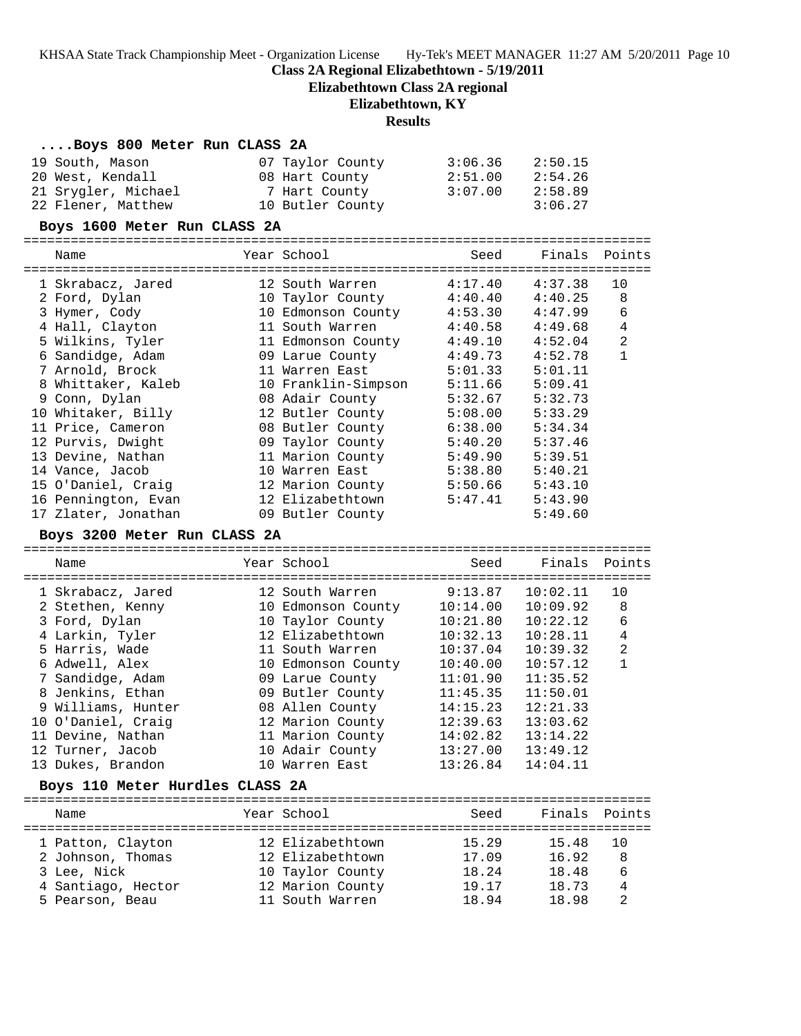**Class 2A Regional Elizabethtown - 5/19/2011**

**Elizabethtown Class 2A regional**

## **Elizabethtown, KY**

## **Results**

#### **....Boys 800 Meter Run CLASS 2A**

| 19 South, Mason     | 07 Taylor County | 3:06.36 | 2:50.15 |
|---------------------|------------------|---------|---------|
| 20 West, Kendall    | 08 Hart County   | 2:51.00 | 2:54.26 |
| 21 Srygler, Michael | 7 Hart County    | 3:07.00 | 2:58.89 |
| 22 Flener, Matthew  | 10 Butler County |         | 3:06.27 |

#### **Boys 1600 Meter Run CLASS 2A**

================================================================================

#### Name The Year School Seed Finals Points ================================================================================

| 1 Skrabacz, Jared   | 12 South Warren     | 4:17.40 | 4:37.38 | 10             |
|---------------------|---------------------|---------|---------|----------------|
| 2 Ford, Dylan       | 10 Taylor County    | 4:40.40 | 4:40.25 | 8              |
| 3 Hymer, Cody       | 10 Edmonson County  | 4:53.30 | 4:47.99 | 6              |
| 4 Hall, Clayton     | 11 South Warren     | 4:40.58 | 4:49.68 | 4              |
| 5 Wilkins, Tyler    | 11 Edmonson County  | 4:49.10 | 4:52.04 | $\overline{2}$ |
| 6 Sandidge, Adam    | 09 Larue County     | 4:49.73 | 4:52.78 |                |
| 7 Arnold, Brock     | 11 Warren East      | 5:01.33 | 5:01.11 |                |
| 8 Whittaker, Kaleb  | 10 Franklin-Simpson | 5:11.66 | 5:09.41 |                |
| 9 Conn, Dylan       | 08 Adair County     | 5:32.67 | 5:32.73 |                |
| 10 Whitaker, Billy  | 12 Butler County    | 5:08.00 | 5:33.29 |                |
| 11 Price, Cameron   | 08 Butler County    | 6:38.00 | 5:34.34 |                |
| 12 Purvis, Dwight   | 09 Taylor County    | 5:40.20 | 5:37.46 |                |
| 13 Devine, Nathan   | 11 Marion County    | 5:49.90 | 5:39.51 |                |
| 14 Vance, Jacob     | 10 Warren East      | 5:38.80 | 5:40.21 |                |
| 15 O'Daniel, Craig  | 12 Marion County    | 5:50.66 | 5:43.10 |                |
| 16 Pennington, Evan | 12 Elizabethtown    | 5:47.41 | 5:43.90 |                |
| 17 Zlater, Jonathan | 09 Butler County    |         | 5:49.60 |                |

#### **Boys 3200 Meter Run CLASS 2A**

================================================================================

| Name               | Year School        | Seed     | Finals Points |    |
|--------------------|--------------------|----------|---------------|----|
| 1 Skrabacz, Jared  | 12 South Warren    | 9:13.87  | 10:02.11      | 10 |
| 2 Stethen, Kenny   | 10 Edmonson County | 10:14.00 | 10:09.92      | 8  |
| 3 Ford, Dylan      | 10 Taylor County   | 10:21.80 | 10:22.12      | 6  |
| 4 Larkin, Tyler    | 12 Elizabethtown   | 10:32.13 | 10:28.11      | 4  |
| 5 Harris, Wade     | 11 South Warren    | 10:37.04 | 10:39.32      | 2  |
| 6 Adwell, Alex     | 10 Edmonson County | 10:40.00 | 10:57.12      |    |
| 7 Sandidge, Adam   | 09 Larue County    | 11:01.90 | 11:35.52      |    |
| 8 Jenkins, Ethan   | 09 Butler County   | 11:45.35 | 11:50.01      |    |
| 9 Williams, Hunter | 08 Allen County    | 14:15.23 | 12:21.33      |    |
| 10 O'Daniel, Craig | 12 Marion County   | 12:39.63 | 13:03.62      |    |
| 11 Devine, Nathan  | 11 Marion County   | 14:02.82 | 13:14.22      |    |
| 12 Turner, Jacob   | 10 Adair County    | 13:27.00 | 13:49.12      |    |
| 13 Dukes, Brandon  | 10 Warren East     | 13:26.84 | 14:04.11      |    |

#### **Boys 110 Meter Hurdles CLASS 2A**

| Name               |  | Year School      | Seed  | Finals Points |     |
|--------------------|--|------------------|-------|---------------|-----|
| 1 Patton, Clayton  |  | 12 Elizabethtown | 15.29 | 15.48         | 1 O |
| 2 Johnson, Thomas  |  | 12 Elizabethtown | 17.09 | 16.92         | -8  |
| 3 Lee, Nick        |  | 10 Taylor County | 18.24 | 18.48         | 6   |
| 4 Santiago, Hector |  | 12 Marion County | 19.17 | 18.73         | 4   |
| 5 Pearson, Beau    |  | 11 South Warren  | 18.94 | 18.98         |     |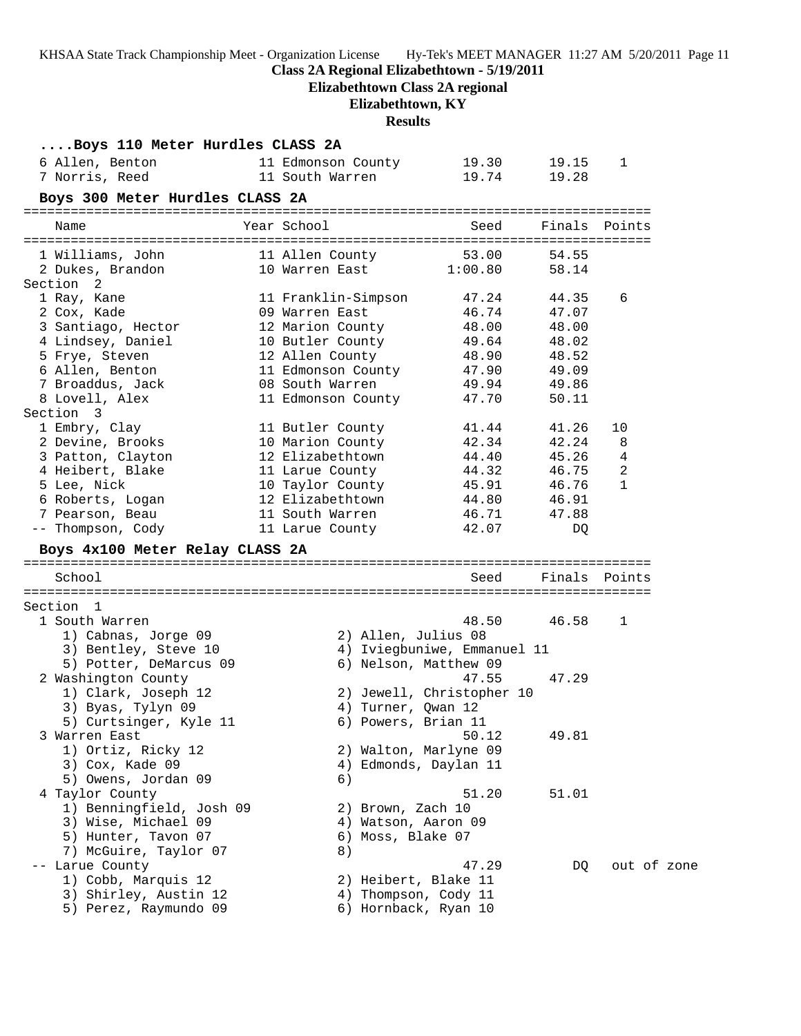| KHSAA State Track Championship Meet - Organization License | Hy-Tek's MEET MANAGER 11:27 AM 5/20/2011 Page 11 |  |
|------------------------------------------------------------|--------------------------------------------------|--|
|------------------------------------------------------------|--------------------------------------------------|--|

**Elizabethtown Class 2A regional**

#### **Elizabethtown, KY**

| Boys 110 Meter Hurdles CLASS 2A              |             |                          |                                              |               |              |
|----------------------------------------------|-------------|--------------------------|----------------------------------------------|---------------|--------------|
| 6 Allen, Benton                              |             | 11 Edmonson County       | 19.30                                        | 19.15         | 1            |
| 7 Norris, Reed                               |             | 11 South Warren          | 19.74                                        | 19.28         |              |
| Boys 300 Meter Hurdles CLASS 2A              |             |                          |                                              |               |              |
| Name                                         | Year School |                          | Seed                                         | Finals Points |              |
| 1 Williams, John                             |             | 11 Allen County          | 53.00                                        | 54.55         |              |
| 2 Dukes, Brandon                             |             | 10 Warren East 1:00.80   |                                              | 58.14         |              |
| Section <sub>2</sub>                         |             |                          |                                              |               |              |
| 1 Ray, Kane                                  |             | 11 Franklin-Simpson      | 47.24                                        | 44.35         | 6            |
| 2 Cox, Kade                                  |             | 09 Warren East           | 46.74                                        | 47.07         |              |
| 3 Santiago, Hector                           |             | 12 Marion County         | 48.00                                        | 48.00         |              |
| 4 Lindsey, Daniel                            |             | 10 Butler County 49.64   |                                              | 48.02         |              |
| 5 Frye, Steven                               |             | 12 Allen County          | 48.90                                        | 48.52         |              |
| 6 Allen, Benton                              |             | 11 Edmonson County 47.90 |                                              | 49.09         |              |
| 7 Broaddus, Jack                             |             | 08 South Warren          | 49.94                                        | 49.86         |              |
| 8 Lovell, Alex                               |             | 11 Edmonson County       | 47.70                                        | 50.11         |              |
| Section 3                                    |             |                          |                                              |               |              |
| 1 Embry, Clay                                |             | 11 Butler County         | 41.44                                        | 41.26         | 10           |
| 2 Devine, Brooks                             |             | 10 Marion County         | 42.34                                        | 42.24         | 8            |
| 3 Patton, Clayton                            |             | 12 Elizabethtown         | 44.40                                        | 45.26         | 4            |
| 4 Heibert, Blake                             |             | 11 Larue County          | 44.32                                        | 46.75         | 2            |
| 5 Lee, Nick                                  |             | 10 Taylor County         | 45.91                                        | 46.76         | $\mathbf{1}$ |
| 6 Roberts, Logan                             |             | 12 Elizabethtown         | 44.80                                        | 46.91         |              |
| 7 Pearson, Beau                              |             | 11 South Warren          | 46.71                                        | 47.88         |              |
| -- Thompson, Cody                            |             | 11 Larue County          | 42.07                                        | DQ            |              |
| Boys 4x100 Meter Relay CLASS 2A              |             |                          |                                              |               |              |
| School                                       |             |                          | Seed                                         | Finals Points |              |
|                                              |             |                          |                                              |               |              |
| Section 1                                    |             |                          |                                              |               |              |
| 1 South Warren                               |             |                          | 48.50                                        | 46.58         | 1            |
| 1) Cabnas, Jorge 09                          |             | 2) Allen, Julius 08      |                                              |               |              |
| 3) Bentley, Steve 10                         |             |                          | 4) Iviegbuniwe, Emmanuel 11                  |               |              |
| 5) Potter, DeMarcus 09                       |             |                          | 6) Nelson, Matthew 09                        |               |              |
| 2 Washington County                          |             |                          | 47.55                                        | 47.29         |              |
| 1) Clark, Joseph 12                          |             |                          | 2) Jewell, Christopher 10                    |               |              |
| 3) Byas, Tylyn 09                            |             | 4) Turner, Qwan 12       |                                              |               |              |
| 5) Curtsinger, Kyle 11                       |             |                          | 6) Powers, Brian 11                          |               |              |
| 3 Warren East                                |             |                          | 50.12                                        | 49.81         |              |
| 1) Ortiz, Ricky 12                           |             |                          | 2) Walton, Marlyne 09                        |               |              |
| 3) Cox, Kade 09                              |             |                          | 4) Edmonds, Daylan 11                        |               |              |
| 5) Owens, Jordan 09                          |             | 6)                       |                                              |               |              |
| 4 Taylor County                              |             |                          | 51.20                                        | 51.01         |              |
| 1) Benningfield, Josh 09                     |             | 2) Brown, Zach 10        |                                              |               |              |
| 3) Wise, Michael 09                          |             | 4) Watson, Aaron 09      |                                              |               |              |
| 5) Hunter, Tavon 07                          |             | 6) Moss, Blake 07        |                                              |               |              |
| 7) McGuire, Taylor 07                        |             | 8)                       |                                              |               | out of zone  |
| Larue County                                 |             |                          | 47.29                                        | DQ            |              |
| 1) Cobb, Marquis 12<br>3) Shirley, Austin 12 |             |                          | 2) Heibert, Blake 11<br>4) Thompson, Cody 11 |               |              |
| 5) Perez, Raymundo 09                        |             |                          | 6) Hornback, Ryan 10                         |               |              |
|                                              |             |                          |                                              |               |              |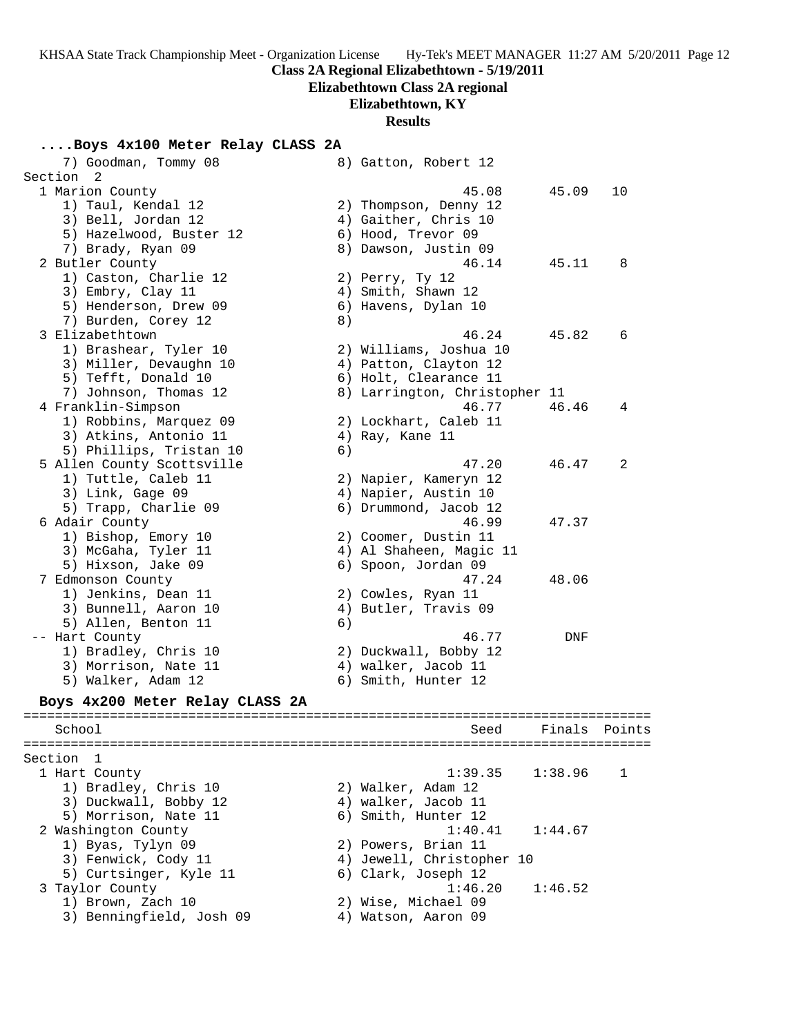**Elizabethtown Class 2A regional**

## **Elizabethtown, KY**

#### **Results**

## **....Boys 4x100 Meter Relay CLASS 2A**

| 7) Goodman, Tommy 08                          |    | 8) Gatton, Robert 12          |         |        |
|-----------------------------------------------|----|-------------------------------|---------|--------|
| Section 2                                     |    |                               |         |        |
| 1 Marion County                               |    | 45.08                         | 45.09   | 10     |
| 1) Taul, Kendal 12                            |    | 2) Thompson, Denny 12         |         |        |
| 3) Bell, Jordan 12                            |    | 4) Gaither, Chris 10          |         |        |
| 5) Hazelwood, Buster 12                       |    | 6) Hood, Trevor 09            |         |        |
| 7) Brady, Ryan 09                             |    | 8) Dawson, Justin 09          |         |        |
| 2 Butler County                               |    | 46.14                         | 45.11   | 8      |
| 1) Caston, Charlie 12                         |    | 2) Perry, Ty 12               |         |        |
| 3) Embry, Clay 11                             |    | 4) Smith, Shawn 12            |         |        |
| 5) Henderson, Drew 09                         |    | 6) Havens, Dylan 10           |         |        |
| 7) Burden, Corey 12                           | 8) |                               |         |        |
| 3 Elizabethtown                               |    | 46.24                         | 45.82   | 6      |
| 1) Brashear, Tyler 10                         |    | 2) Williams, Joshua 10        |         |        |
| 3) Miller, Devaughn 10                        |    | 4) Patton, Clayton 12         |         |        |
| 5) Tefft, Donald 10                           |    | 6) Holt, Clearance 11         |         |        |
| 7) Johnson, Thomas 12                         |    | 8) Larrington, Christopher 11 |         |        |
| 4 Franklin-Simpson                            |    | 46.77                         | 46.46   | 4      |
| 1) Robbins, Marquez 09                        |    | 2) Lockhart, Caleb 11         |         |        |
| 3) Atkins, Antonio 11                         |    | 4) Ray, Kane 11               |         |        |
| 5) Phillips, Tristan 10                       | 6) |                               |         |        |
| 5 Allen County Scottsville                    |    | 47.20                         | 46.47   | 2      |
| 1) Tuttle, Caleb 11                           |    | 2) Napier, Kameryn 12         |         |        |
| 3) Link, Gage 09                              |    | 4) Napier, Austin 10          |         |        |
| 5) Trapp, Charlie 09                          |    | 6) Drummond, Jacob 12         |         |        |
| 6 Adair County                                |    | 46.99                         | 47.37   |        |
| 1) Bishop, Emory 10                           |    | 2) Coomer, Dustin 11          |         |        |
| 3) McGaha, Tyler 11                           |    | 4) Al Shaheen, Magic 11       |         |        |
| 5) Hixson, Jake 09                            |    | 6) Spoon, Jordan 09           |         |        |
| 7 Edmonson County                             |    | 47.24                         | 48.06   |        |
| 1) Jenkins, Dean 11                           |    | 2) Cowles, Ryan 11            |         |        |
|                                               |    |                               |         |        |
| 3) Bunnell, Aaron 10<br>5) Allen, Benton 11   |    | 4) Butler, Travis 09          |         |        |
| -- Hart County                                | 6) | 46.77                         | DNF     |        |
|                                               |    |                               |         |        |
| 1) Bradley, Chris 10                          |    | 2) Duckwall, Bobby 12         |         |        |
| 3) Morrison, Nate 11                          |    | 4) walker, Jacob 11           |         |        |
| 5) Walker, Adam 12                            |    | 6) Smith, Hunter 12           |         |        |
| Boys 4x200 Meter Relay CLASS 2A               |    |                               |         |        |
| ==========<br>=============================== |    | ----------------------------  |         |        |
| School<br>--------------                      |    | Seed                          | Finals  | Points |
| Section 1                                     |    |                               |         |        |
| 1 Hart County                                 |    | 1:39.35                       | 1:38.96 | 1      |
| 1) Bradley, Chris 10                          |    | 2) Walker, Adam 12            |         |        |
| 3) Duckwall, Bobby 12                         |    | 4) walker, Jacob 11           |         |        |
| 5) Morrison, Nate 11                          |    | 6) Smith, Hunter 12           |         |        |
| 2 Washington County                           |    | 1:40.41                       | 1:44.67 |        |
| 1) Byas, Tylyn 09                             |    | 2) Powers, Brian 11           |         |        |
| 3) Fenwick, Cody 11                           |    | 4) Jewell, Christopher 10     |         |        |
| 5) Curtsinger, Kyle 11                        |    | 6) Clark, Joseph 12           |         |        |
| 3 Taylor County                               |    | 1:46.20                       | 1:46.52 |        |
| 1) Brown, Zach 10                             |    | 2) Wise, Michael 09           |         |        |
|                                               |    |                               |         |        |

3) Benningfield, Josh 09 4) Watson, Aaron 09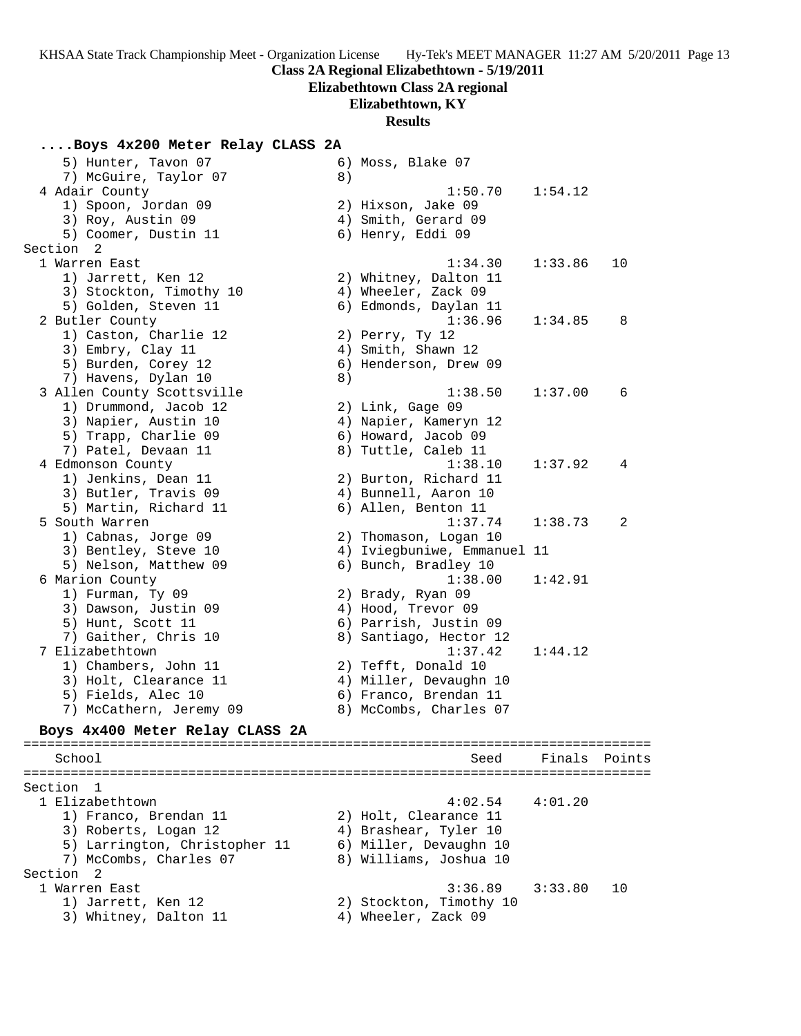**Elizabethtown Class 2A regional**

## **Elizabethtown, KY**

## **Results**

## **....Boys 4x200 Meter Relay CLASS 2A**

| 5) Hunter, Tavon 07             |    | 6) Moss, Blake 07           |               |    |
|---------------------------------|----|-----------------------------|---------------|----|
| 7) McGuire, Taylor 07           | 8) |                             |               |    |
| 4 Adair County                  |    | 1:50.70                     | 1:54.12       |    |
| 1) Spoon, Jordan 09             |    | 2) Hixson, Jake 09          |               |    |
| 3) Roy, Austin 09               |    | 4) Smith, Gerard 09         |               |    |
| 5) Coomer, Dustin 11            |    | 6) Henry, Eddi 09           |               |    |
| Section 2                       |    |                             |               |    |
| 1 Warren East                   |    | 1:34.30                     | 1:33.86       | 10 |
| 1) Jarrett, Ken 12              |    | 2) Whitney, Dalton 11       |               |    |
| 3) Stockton, Timothy 10         |    | 4) Wheeler, Zack 09         |               |    |
| 5) Golden, Steven 11            |    | 6) Edmonds, Daylan 11       |               |    |
| 2 Butler County                 |    | 1:36.96                     | 1:34.85       | 8  |
| 1) Caston, Charlie 12           |    | 2) Perry, Ty 12             |               |    |
| 3) Embry, Clay 11               |    | 4) Smith, Shawn 12          |               |    |
| 5) Burden, Corey 12             |    | 6) Henderson, Drew 09       |               |    |
| 7) Havens, Dylan 10             | 8) |                             |               |    |
| 3 Allen County Scottsville      |    | 1:38.50                     | 1:37.00       | 6  |
| 1) Drummond, Jacob 12           |    | 2) Link, Gage 09            |               |    |
| 3) Napier, Austin 10            |    | 4) Napier, Kameryn 12       |               |    |
| 5) Trapp, Charlie 09            |    | 6) Howard, Jacob 09         |               |    |
| 7) Patel, Devaan 11             |    | 8) Tuttle, Caleb 11         |               |    |
| 4 Edmonson County               |    | 1:38.10                     | 1:37.92       | 4  |
| 1) Jenkins, Dean 11             |    | 2) Burton, Richard 11       |               |    |
| 3) Butler, Travis 09            |    | 4) Bunnell, Aaron 10        |               |    |
| 5) Martin, Richard 11           |    | 6) Allen, Benton 11         |               |    |
| 5 South Warren                  |    | 1:37.74                     | 1:38.73       | 2  |
| 1) Cabnas, Jorge 09             |    | 2) Thomason, Logan 10       |               |    |
| 3) Bentley, Steve 10            |    | 4) Iviegbuniwe, Emmanuel 11 |               |    |
| 5) Nelson, Matthew 09           |    | 6) Bunch, Bradley 10        |               |    |
| 6 Marion County                 |    | 1:38.00                     | 1:42.91       |    |
| 1) Furman, Ty 09                |    | 2) Brady, Ryan 09           |               |    |
| 3) Dawson, Justin 09            |    | 4) Hood, Trevor 09          |               |    |
| 5) Hunt, Scott 11               |    | 6) Parrish, Justin 09       |               |    |
| 7) Gaither, Chris 10            |    | 8) Santiago, Hector 12      |               |    |
| 7 Elizabethtown                 |    | 1:37.42                     | 1:44.12       |    |
| 1) Chambers, John 11            |    | 2) Tefft, Donald 10         |               |    |
| 3) Holt, Clearance 11           |    | 4) Miller, Devaughn 10      |               |    |
| 5) Fields, Alec 10              |    | 6) Franco, Brendan 11       |               |    |
| 7) McCathern, Jeremy 09         |    | 8) McCombs, Charles 07      |               |    |
| Boys 4x400 Meter Relay CLASS 2A |    |                             |               |    |
|                                 |    |                             |               |    |
| School                          |    | Seed                        | Finals Points |    |
|                                 |    |                             |               |    |
| Section<br>1                    |    |                             |               |    |
| 1 Elizabethtown                 |    | 4:02.54                     | 4:01.20       |    |
| 1) Franco, Brendan 11           |    | 2) Holt, Clearance 11       |               |    |
| 3) Roberts, Logan 12            |    | 4) Brashear, Tyler 10       |               |    |
| 5) Larrington, Christopher 11   |    | 6) Miller, Devaughn 10      |               |    |
| 7) McCombs, Charles 07          |    | 8) Williams, Joshua 10      |               |    |
| Section 2                       |    |                             |               |    |
| 1 Warren East                   |    | 3:36.89                     | 3:33.80       | 10 |
| 1) Jarrett, Ken 12              |    | 2) Stockton, Timothy 10     |               |    |

3) Whitney, Dalton 11 4) Wheeler, Zack 09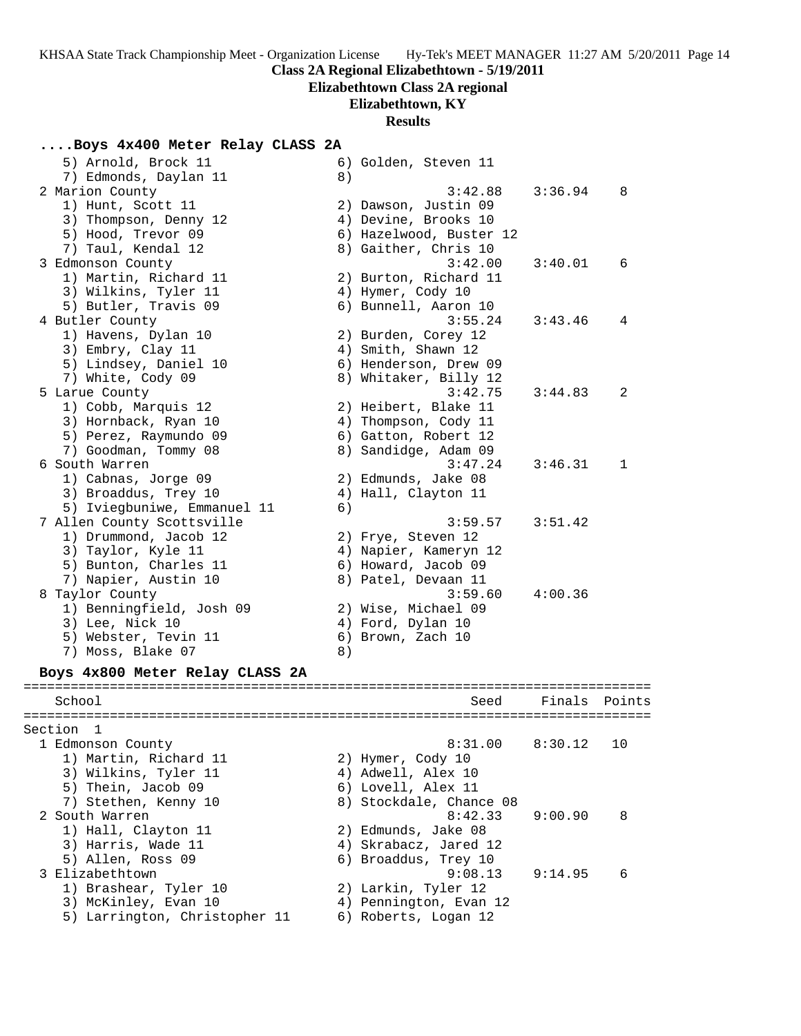**Elizabethtown Class 2A regional**

## **Elizabethtown, KY**

## **Results**

## **....Boys 4x400 Meter Relay CLASS 2A**

| 5) Arnold, Brock 11<br>7) Edmonds, Daylan 11 | 8) | 6) Golden, Steven 11    |         |        |
|----------------------------------------------|----|-------------------------|---------|--------|
| 2 Marion County                              |    | 3:42.88                 | 3:36.94 | 8      |
| 1) Hunt, Scott 11                            |    | 2) Dawson, Justin 09    |         |        |
| 3) Thompson, Denny 12                        |    | 4) Devine, Brooks 10    |         |        |
| 5) Hood, Trevor 09                           |    | 6) Hazelwood, Buster 12 |         |        |
| 7) Taul, Kendal 12                           |    | 8) Gaither, Chris 10    |         |        |
| 3 Edmonson County                            |    | 3:42.00                 | 3:40.01 | 6      |
| 1) Martin, Richard 11                        |    | 2) Burton, Richard 11   |         |        |
| 3) Wilkins, Tyler 11                         |    | 4) Hymer, Cody 10       |         |        |
|                                              |    |                         |         |        |
| 5) Butler, Travis 09                         |    | 6) Bunnell, Aaron 10    |         |        |
| 4 Butler County                              |    | 3:55.24                 | 3:43.46 | 4      |
| 1) Havens, Dylan 10                          |    | 2) Burden, Corey 12     |         |        |
| 3) Embry, Clay 11                            |    | 4) Smith, Shawn 12      |         |        |
| 5) Lindsey, Daniel 10                        |    | 6) Henderson, Drew 09   |         |        |
| 7) White, Cody 09                            |    | 8) Whitaker, Billy 12   |         |        |
| 5 Larue County                               |    | 3:42.75                 | 3:44.83 | 2      |
| 1) Cobb, Marquis 12                          |    | 2) Heibert, Blake 11    |         |        |
| 3) Hornback, Ryan 10                         |    | 4) Thompson, Cody 11    |         |        |
| 5) Perez, Raymundo 09                        |    | 6) Gatton, Robert 12    |         |        |
| 7) Goodman, Tommy 08                         |    | 8) Sandidge, Adam 09    |         |        |
| 6 South Warren                               |    | 3:47.24                 | 3:46.31 | 1      |
| 1) Cabnas, Jorge 09                          |    | 2) Edmunds, Jake 08     |         |        |
| 3) Broaddus, Trey 10                         |    | 4) Hall, Clayton 11     |         |        |
| 5) Iviegbuniwe, Emmanuel 11                  | 6) |                         |         |        |
| 7 Allen County Scottsville                   |    | 3:59.57                 | 3:51.42 |        |
| 1) Drummond, Jacob 12                        |    | 2) Frye, Steven 12      |         |        |
| 3) Taylor, Kyle 11                           |    | 4) Napier, Kameryn 12   |         |        |
| 5) Bunton, Charles 11                        |    | 6) Howard, Jacob 09     |         |        |
| 7) Napier, Austin 10                         |    | 8) Patel, Devaan 11     |         |        |
| 8 Taylor County                              |    | 3:59.60                 | 4:00.36 |        |
|                                              |    |                         |         |        |
| 1) Benningfield, Josh 09                     |    | 2) Wise, Michael 09     |         |        |
| 3) Lee, Nick 10                              |    | 4) Ford, Dylan 10       |         |        |
| 5) Webster, Tevin 11                         |    | 6) Brown, Zach 10       |         |        |
| 7) Moss, Blake 07                            | 8) |                         |         |        |
| Boys 4x800 Meter Relay CLASS 2A              |    |                         |         |        |
|                                              |    |                         |         |        |
| School                                       |    | Seed                    | Finals  | Points |
|                                              |    |                         |         |        |
| Section<br>-1                                |    |                         |         |        |
| 1 Edmonson County                            |    | 8:31.00                 | 8:30.12 | 10     |
| 1) Martin, Richard 11                        |    | 2) Hymer, Cody 10       |         |        |
| 3) Wilkins, Tyler 11                         |    | 4) Adwell, Alex 10      |         |        |
| 5) Thein, Jacob 09                           |    | 6) Lovell, Alex 11      |         |        |
| 7) Stethen, Kenny 10                         |    | 8) Stockdale, Chance 08 |         |        |
| 2 South Warren                               |    | 8:42.33                 | 9:00.90 | 8      |
| 1) Hall, Clayton 11                          |    | 2) Edmunds, Jake 08     |         |        |
| 3) Harris, Wade 11                           |    | 4) Skrabacz, Jared 12   |         |        |
| 5) Allen, Ross 09                            |    | 6) Broaddus, Trey 10    |         |        |
| 3 Elizabethtown                              |    | 9:08.13                 | 9:14.95 | 6      |
| 1) Brashear, Tyler 10                        |    | 2) Larkin, Tyler 12     |         |        |
| 3) McKinley, Evan 10                         |    |                         |         |        |
|                                              |    | 4) Pennington, Evan 12  |         |        |
| 5) Larrington, Christopher 11                |    | 6) Roberts, Logan 12    |         |        |